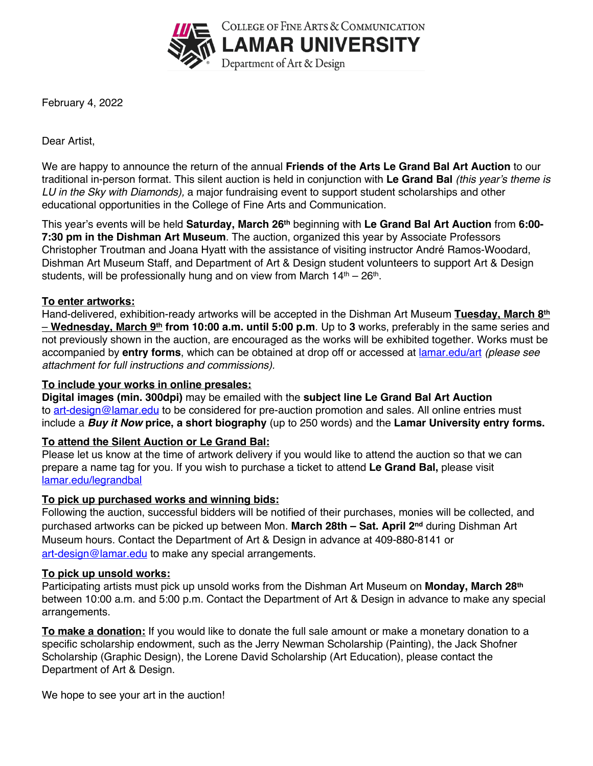

February 4, 2022

Dear Artist,

We are happy to announce the return of the annual **Friends of the Arts Le Grand Bal Art Auction** to our traditional in-person format. This silent auction is held in conjunction with **Le Grand Bal** *(this year's theme is LU in the Sky with Diamonds),* a major fundraising event to support student scholarships and other educational opportunities in the College of Fine Arts and Communication.

This year's events will be held **Saturday, March 26th** beginning with **Le Grand Bal Art Auction** from **6:00- 7:30 pm in the Dishman Art Museum**. The auction, organized this year by Associate Professors Christopher Troutman and Joana Hyatt with the assistance of visiting instructor André Ramos-Woodard, Dishman Art Museum Staff, and Department of Art & Design student volunteers to support Art & Design students, will be professionally hung and on view from March  $14<sup>th</sup> - 26<sup>th</sup>$ .

## **To enter artworks:**

Hand-delivered, exhibition-ready artworks will be accepted in the Dishman Art Museum **Tuesday, March 8th** – **Wednesday, March 9th from 10:00 a.m. until 5:00 p.m**. Up to **3** works, preferably in the same series and not previously shown in the auction, are encouraged as the works will be exhibited together. Works must be accompanied by **entry forms**, which can be obtained at drop off or accessed at lamar.edu/art *(please see attachment for full instructions and commissions).*

## **To include your works in online presales:**

**Digital images (min. 300dpi)** may be emailed with the **subject line Le Grand Bal Art Auction**  to art-design@lamar.edu to be considered for pre-auction promotion and sales. All online entries must include a *Buy it Now* **price, a short biography** (up to 250 words) and the **Lamar University entry forms.** 

# **To attend the Silent Auction or Le Grand Bal:**

Please let us know at the time of artwork delivery if you would like to attend the auction so that we can prepare a name tag for you. If you wish to purchase a ticket to attend **Le Grand Bal,** please visit lamar.edu/legrandbal

## **To pick up purchased works and winning bids:**

Following the auction, successful bidders will be notified of their purchases, monies will be collected, and purchased artworks can be picked up between Mon. **March 28th – Sat. April 2nd** during Dishman Art Museum hours. Contact the Department of Art & Design in advance at 409-880-8141 or art-design@lamar.edu to make any special arrangements.

## **To pick up unsold works:**

Participating artists must pick up unsold works from the Dishman Art Museum on **Monday, March 28th** between 10:00 a.m. and 5:00 p.m. Contact the Department of Art & Design in advance to make any special arrangements.

**To make a donation:** If you would like to donate the full sale amount or make a monetary donation to a specific scholarship endowment, such as the Jerry Newman Scholarship (Painting), the Jack Shofner Scholarship (Graphic Design), the Lorene David Scholarship (Art Education), please contact the Department of Art & Design.

We hope to see your art in the auction!